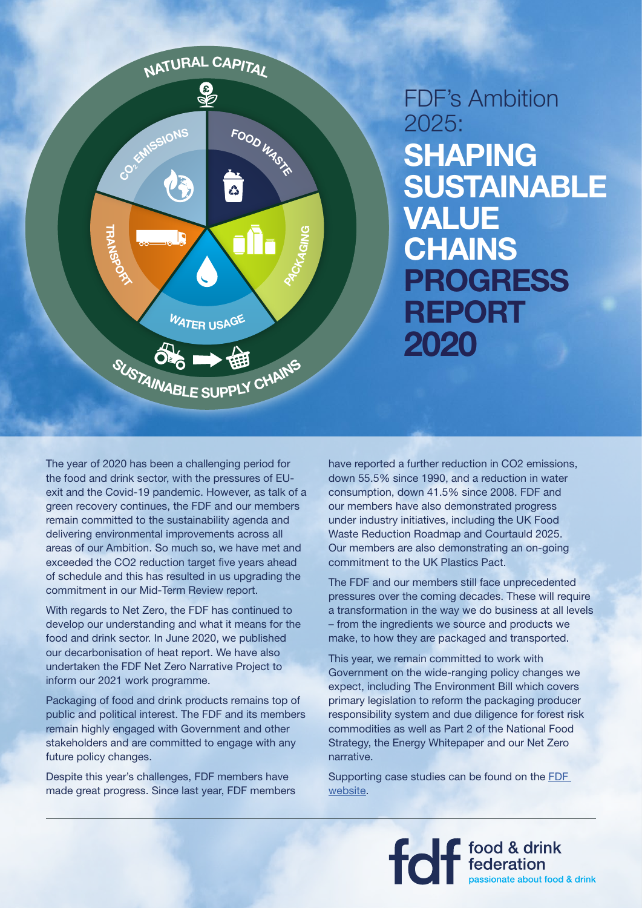

## **SHAPING SUSTAINABLE VALUE CHAINS PROGRESS REPORT 2020** FDF's Ambition 2025:

The year of 2020 has been a challenging period for the food and drink sector, with the pressures of EUexit and the Covid-19 pandemic. However, as talk of a green recovery continues, the FDF and our members remain committed to the sustainability agenda and delivering environmental improvements across all areas of our Ambition. So much so, we have met and exceeded the CO2 reduction target five years ahead of schedule and this has resulted in us upgrading the commitment in our Mid-Term Review report.

With regards to Net Zero, the FDF has continued to develop our understanding and what it means for the food and drink sector. In June 2020, we published our decarbonisation of heat report. We have also undertaken the FDF Net Zero Narrative Project to inform our 2021 work programme.

Packaging of food and drink products remains top of public and political interest. The FDF and its members remain highly engaged with Government and other stakeholders and are committed to engage with any future policy changes.

Despite this year's challenges, FDF members have made great progress. Since last year, FDF members

have reported a further reduction in CO2 emissions, down 55.5% since 1990, and a reduction in water consumption, down 41.5% since 2008. FDF and our members have also demonstrated progress under industry initiatives, including the UK Food Waste Reduction Roadmap and Courtauld 2025. Our members are also demonstrating an on-going commitment to the UK Plastics Pact.

The FDF and our members still face unprecedented pressures over the coming decades. These will require a transformation in the way we do business at all levels – from the ingredients we source and products we make, to how they are packaged and transported.

This year, we remain committed to work with Government on the wide-ranging policy changes we expect, including The Environment Bill which covers primary legislation to reform the packaging producer responsibility system and due diligence for forest risk commodities as well as Part 2 of the National Food Strategy, the Energy Whitepaper and our Net Zero narrative.

Supporting case studies can be found on the [FDF](https://www.fdf.org.uk/sustainability-ambition2025-case-studies.aspx)  [website](https://www.fdf.org.uk/sustainability-ambition2025-case-studies.aspx).

food & drink<br>federation<br>passionate about food & drink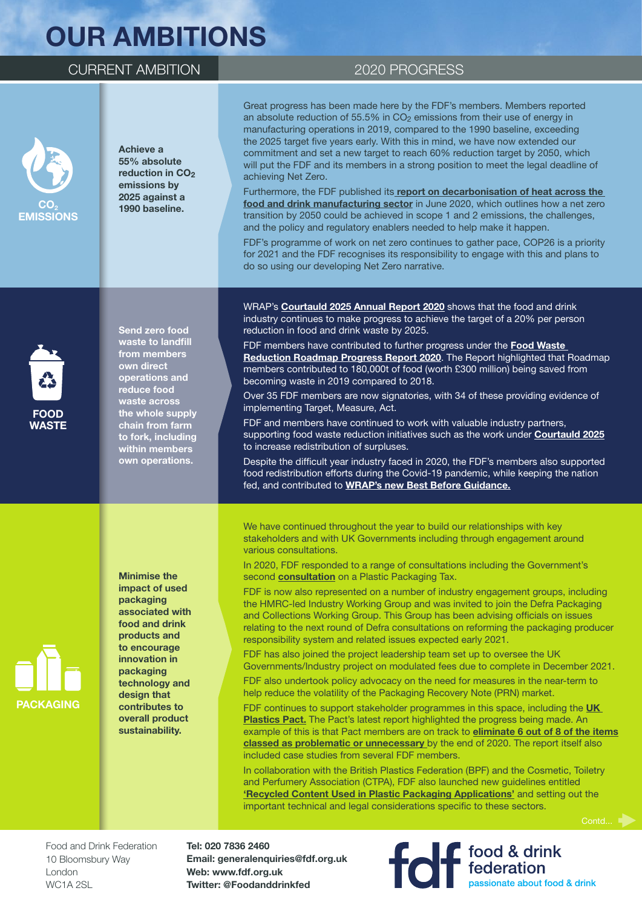# **OUR AMBITIONS**

### CURRENT AMBITION 2020 PROGRESS

**CO2 EMISSIONS**

#### **Achieve a 55% absolute reduction in CO<sub>2</sub> emissions by 2025 against a 1990 baseline.**

Great progress has been made here by the FDF's members. Members reported an absolute reduction of 55.5% in  $CO<sub>2</sub>$  emissions from their use of energy in manufacturing operations in 2019, compared to the 1990 baseline, exceeding the 2025 target five years early. With this in mind, we have now extended our commitment and set a new target to reach 60% reduction target by 2050, which will put the FDF and its members in a strong position to meet the legal deadline of achieving Net Zero.

Furthermore, the FDF published its **[report on decarbonisation of heat across the](https://www.fdf.org.uk/fdf/resources/publications/decarbonisation-of-heat-across-the-food-and-drink-manufacturing-sector/)  [food and drink manufacturing sector](https://www.fdf.org.uk/fdf/resources/publications/decarbonisation-of-heat-across-the-food-and-drink-manufacturing-sector/)** in June 2020, which outlines how a net zero transition by 2050 could be achieved in scope 1 and 2 emissions, the challenges, and the policy and regulatory enablers needed to help make it happen.

FDF's programme of work on net zero continues to gather pace, COP26 is a priority for 2021 and the FDF recognises its responsibility to engage with this and plans to do so using our developing Net Zero narrative.



**PACKAGING**

**Send zero food waste to landfill from members own direct operations and reduce food waste across the whole supply chain from farm to fork, including within members own operations.**

**Minimise the impact of used packaging associated with food and drink products and to encourage innovation in packaging technology and design that contributes to overall product sustainability.**

WRAP's **[Courtauld 2025 Annual Report 2020](https://wrap.org.uk/resources/report/courtauld-commitment-2025-annual-report-2020)** shows that the food and drink industry continues to make progress to achieve the target of a 20% per person reduction in food and drink waste by 2025.

FDF members have contributed to further progress under the **[Food Waste](https://wrap.org.uk/resources/report/food-waste-reduction-roadmap-progress-report-2020)  [Reduction Roadmap Progress Report 2020](https://wrap.org.uk/resources/report/food-waste-reduction-roadmap-progress-report-2020)**. The Report highlighted that Roadmap members contributed to 180,000t of food (worth £300 million) being saved from becoming waste in 2019 compared to 2018.

Over 35 FDF members are now signatories, with 34 of these providing evidence of implementing Target, Measure, Act.

FDF and members have continued to work with valuable industry partners, supporting food waste reduction initiatives such as the work under **[Courtauld 2025](http://www.wrap.org.uk/food-drink/business-food-waste/courtauld-2025)** to increase redistribution of surpluses.

Despite the difficult year industry faced in 2020, the FDF's members also supported food redistribution efforts during the Covid-19 pandemic, while keeping the nation fed, and contributed to **[WRAP's new Best Before Guidance.](https://wrap.org.uk/sites/default/files/2020-07/WRAP-Food-labelling-guidance.pdf)**

We have continued throughout the year to build our relationships with key stakeholders and with UK Governments including through engagement around various consultations.

In 2020, FDF responded to a range of consultations including the Government's second **[consultation](https://www.gov.uk/government/consultations/plastic-packaging-tax-policy-design)** on a Plastic Packaging Tax.

FDF is now also represented on a number of industry engagement groups, including the HMRC-led Industry Working Group and was invited to join the Defra Packaging and Collections Working Group. This Group has been advising officials on issues relating to the next round of Defra consultations on reforming the packaging producer responsibility system and related issues expected early 2021.

FDF has also joined the project leadership team set up to oversee the UK Governments/Industry project on modulated fees due to complete in December 2021.

FDF also undertook policy advocacy on the need for measures in the near-term to help reduce the volatility of the Packaging Recovery Note (PRN) market.

FDF continues to support stakeholder programmes in this space, including the **[UK](http://www.wrap.org.uk/content/the-uk-plastics-pact)  [Plastics Pact.](http://www.wrap.org.uk/content/the-uk-plastics-pact)** The Pact's latest report highlighted the progress being made. An example of this is that Pact members are on track to **[eliminate 6 out of 8 of the items](https://www.wrap.org.uk/content/eliminating-problem-plastics)  [classed as problematic or unnecessary](https://www.wrap.org.uk/content/eliminating-problem-plastics)** by the end of 2020. The report itself also included case studies from several FDF members.

In collaboration with the British Plastics Federation (BPF) and the Cosmetic, Toiletry and Perfumery Association (CTPA), FDF also launched new guidelines entitled **['Recycled Content Used in Plastic Packaging Applications'](https://www.fdf.org.uk/fdf/resources/publications/recycled-content-used-in-plastic-packaging-applications/)** and setting out the important technical and legal considerations specific to these sectors.

food & drink<br>rederation<br>passionate about food & drink

Food and Drink Federation 10 Bloomsbury Way London WC<sub>1</sub>A<sub>2SL</sub>

**Tel: 020 7836 2460 Email: generalenquiries@fdf.org.uk Web: www.fdf.org.uk Twitter: @Foodanddrinkfed**